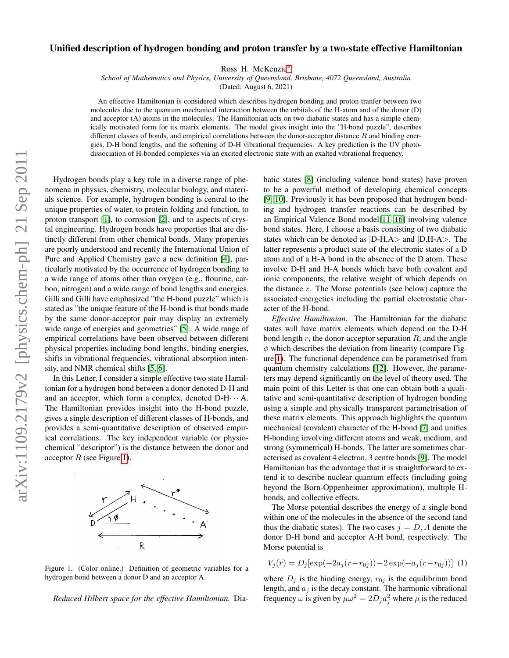## Unified description of hydrogen bonding and proton transfer by a two-state effective Hamiltonian

Ross H. McKenzie[∗](#page-3-0)

*School of Mathematics and Physics, University of Queensland, Brisbane, 4072 Queensland, Australia*

(Dated: August 6, 2021)

An effective Hamiltonian is considered which describes hydrogen bonding and proton tranfer between two molecules due to the quantum mechanical interaction between the orbitals of the H-atom and of the donor (D) and acceptor (A) atoms in the molecules. The Hamiltonian acts on two diabatic states and has a simple chemically motivated form for its matrix elements. The model gives insight into the "H-bond puzzle", describes different classes of bonds, and empirical correlations between the donor-acceptor distance  $R$  and binding energies, D-H bond lengths, and the softening of D-H vibrational frequencies. A key prediction is the UV photodissociation of H-bonded complexes via an excited electronic state with an exalted vibrational frequency.

Hydrogen bonds play a key role in a diverse range of phenomena in physics, chemistry, molecular biology, and materials science. For example, hydrogen bonding is central to the unique properties of water, to protein folding and function, to proton transport [\[1\]](#page-3-1), to corrosion [\[2\]](#page-3-2), and to aspects of crystal engineering. Hydrogen bonds have properties that are distinctly different from other chemical bonds. Many properties are poorly understood and recently the International Union of Pure and Applied Chemistry gave a new definition [\[4\]](#page-4-0), particularly motivated by the occurrence of hydrogen bonding to a wide range of atoms other than oxygen (e.g., flourine, carbon, nitrogen) and a wide range of bond lengths and energies. Gilli and Gilli have emphasized "the H-bond puzzle" which is stated as "the unique feature of the H-bond is that bonds made by the same donor-acceptor pair may display an extremely wide range of energies and geometries" [\[5\]](#page-4-1). A wide range of empirical correlations have been observed between different physical properties including bond lengths, binding energies, shifts in vibrational frequencies, vibrational absorption intensity, and NMR chemical shifts [\[5,](#page-4-1) [6\]](#page-4-2).

In this Letter, I consider a simple effective two state Hamiltonian for a hydrogen bond between a donor denoted D-H and and an acceptor, which form a complex, denoted  $D-H \cdots A$ . The Hamiltonian provides insight into the H-bond puzzle, gives a single description of different classes of H-bonds, and provides a semi-quantitative description of observed empirical correlations. The key independent variable (or physiochemical "descriptor") is the distance between the donor and acceptor  $R$  (see Figure [1\)](#page-0-0).



<span id="page-0-0"></span>Figure 1. (Color online.) Definition of geometric variables for a hydrogen bond between a donor D and an acceptor A.

*Reduced Hilbert space for the effective Hamiltonian.* Dia-

batic states [\[8\]](#page-4-3) (including valence bond states) have proven to be a powerful method of developing chemical concepts [\[9,](#page-4-4) [10\]](#page-4-5). Previously it has been proposed that hydrogen bonding and hydrogen transfer reactions can be described by an Empirical Valence Bond model[\[11–](#page-4-6)[16\]](#page-4-7) involving valence bond states. Here, I choose a basis consisting of two diabatic states which can be denoted as |D-H,A> and |D,H-A>. The latter represents a product state of the electronic states of a D atom and of a H-A bond in the absence of the D atom. These involve D-H and H-A bonds which have both covalent and ionic components, the relative weight of which depends on the distance r. The Morse potentials (see below) capture the associated energetics including the partial electrostatic character of the H-bond.

*Effective Hamiltonian.* The Hamiltonian for the diabatic states will have matrix elements which depend on the D-H bond length  $r$ , the donor-acceptor separation  $R$ , and the angle  $\phi$  which describes the deviation from linearity (compare Figure [1\)](#page-0-0). The functional dependence can be parametrised from quantum chemistry calculations [\[12\]](#page-4-8). However, the parameters may depend significantly on the level of theory used. The main point of this Letter is that one can obtain both a qualitative and semi-quantitative description of hydrogen bonding using a simple and physically transparent parametrisation of these matrix elements. This approach highlights the quantum mechanical (covalent) character of the H-bond [\[7\]](#page-4-9) and unifies H-bonding involving different atoms and weak, medium, and strong (symmetrical) H-bonds. The latter are sometimes characterised as covalent 4 electron, 3 centre bonds [\[9\]](#page-4-4). The model Hamiltonian has the advantage that it is straightforward to extend it to describe nuclear quantum effects (including going beyond the Born-Oppenheimer approximation), multiple Hbonds, and collective effects.

The Morse potential describes the energy of a single bond within one of the molecules in the absence of the second (and thus the diabatic states). The two cases  $j = D, A$  denote the donor D-H bond and acceptor A-H bond, respectively. The Morse potential is

$$
V_j(r) = D_j[\exp(-2a_j(r - r_{0j})) - 2\exp(-a_j(r - r_{0j}))]
$$
 (1)

where  $D_j$  is the binding energy,  $r_{0j}$  is the equilibrium bond length, and  $a_j$  is the decay constant. The harmonic vibrational frequency  $\omega$  is given by  $\mu \omega^2 = 2D_j a_j^2$  where  $\mu$  is the reduced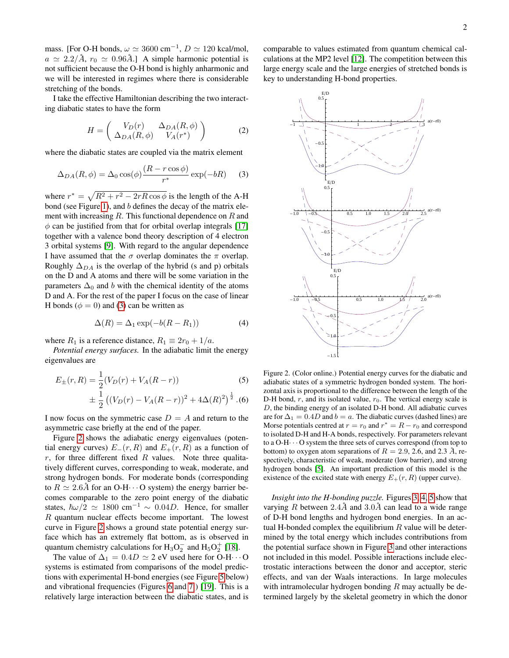mass. [For O-H bonds,  $\omega \simeq 3600 \text{ cm}^{-1}$ ,  $D \simeq 120 \text{ kcal/mol}$ ,  $a \approx 2.2/\mathring{A}$ ,  $r_0 \approx 0.96\mathring{A}$ .] A simple harmonic potential is not sufficient because the O-H bond is highly anharmonic and we will be interested in regimes where there is considerable stretching of the bonds.

I take the effective Hamiltonian describing the two interacting diabatic states to have the form

$$
H = \begin{pmatrix} V_D(r) & \Delta_{DA}(R,\phi) \\ \Delta_{DA}(R,\phi) & V_A(r^*) \end{pmatrix}
$$
 (2)

where the diabatic states are coupled via the matrix element

<span id="page-1-0"></span>
$$
\Delta_{DA}(R,\phi) = \Delta_0 \cos(\phi) \frac{(R - r \cos \phi)}{r^*} \exp(-bR) \tag{3}
$$

where  $r^* = \sqrt{R^2 + r^2 - 2rR\cos\phi}$  is the length of the A-H bond (see Figure [1\)](#page-0-0), and  $b$  defines the decay of the matrix element with increasing  $R$ . This functional dependence on  $R$  and  $\phi$  can be justified from that for orbital overlap integrals [\[17\]](#page-4-10) together with a valence bond theory description of 4 electron 3 orbital systems [\[9\]](#page-4-4). With regard to the angular dependence I have assumed that the  $\sigma$  overlap dominates the  $\pi$  overlap. Roughly  $\Delta_{DA}$  is the overlap of the hybrid (s and p) orbitals on the D and A atoms and there will be some variation in the parameters  $\Delta_0$  and b with the chemical identity of the atoms D and A. For the rest of the paper I focus on the case of linear H bonds ( $\phi = 0$ ) and [\(3\)](#page-1-0) can be written as

$$
\Delta(R) = \Delta_1 \exp(-b(R - R_1))\tag{4}
$$

where  $R_1$  is a reference distance,  $R_1 \equiv 2r_0 + 1/a$ .

*Potential energy surfaces.* In the adiabatic limit the energy eigenvalues are

$$
E_{\pm}(r,R) = \frac{1}{2}(V_D(r) + V_A(R-r))
$$
\n
$$
\pm \frac{1}{2} ((V_D(r) - V_A(R-r))^2 + 4\Delta(R)^2)^{\frac{1}{2}}.
$$
\n(6)

I now focus on the symmetric case  $D = A$  and return to the asymmetric case briefly at the end of the paper.

Figure [2](#page-1-1) shows the adiabatic energy eigenvalues (potential energy curves)  $E_-(r, R)$  and  $E_+(r, R)$  as a function of r, for three different fixed R values. Note three qualitatively different curves, corresponding to weak, moderate, and strong hydrogen bonds. For moderate bonds (corresponding to  $R \simeq 2.6\text{\AA}$  for an O-H···O system) the energy barrier becomes comparable to the zero point energy of the diabatic states,  $\hbar \omega/2 \simeq 1800 \text{ cm}^{-1} \sim 0.04D$ . Hence, for smaller R quantum nuclear effects become important. The lowest curve in Figure [2](#page-1-1) shows a ground state potential energy surface which has an extremely flat bottom, as is observed in quantum chemistry calculations for  $H_3O_2^-$  and  $H_5O_2^+$  [\[18\]](#page-4-11).

The value of  $\Delta_1 = 0.4D \simeq 2$  eV used here for O-H···O systems is estimated from comparisons of the model predictions with experimental H-bond energies (see Figure [5](#page-2-0) below) and vibrational frequencies (Figures [6](#page-3-3) and [7](#page-3-4) ) [\[19\]](#page-4-12). This is a relatively large interaction between the diabatic states, and is

comparable to values estimated from quantum chemical calculations at the MP2 level [\[12\]](#page-4-8). The competition between this large energy scale and the large energies of stretched bonds is key to understanding H-bond properties.



<span id="page-1-1"></span>Figure 2. (Color online.) Potential energy curves for the diabatic and adiabatic states of a symmetric hydrogen bonded system. The horizontal axis is proportional to the difference between the length of the D-H bond,  $r$ , and its isolated value,  $r_0$ . The vertical energy scale is D, the binding energy of an isolated D-H bond. All adiabatic curves are for  $\Delta_1 = 0.4D$  and  $b = a$ . The diabatic curves (dashed lines) are Morse potentials centred at  $r = r_0$  and  $r^* = R - r_0$  and correspond to isolated D-H and H-A bonds, respectively. For parameters relevant to a  $O-H \cdots O$  system the three sets of curves correspond (from top to bottom) to oxygen atom separations of  $R = 2.9, 2.6,$  and 2.3  $\AA$ , respectively, characteristic of weak, moderate (low barrier), and strong hydrogen bonds [\[5\]](#page-4-1). An important prediction of this model is the existence of the excited state with energy  $E_+(r, R)$  (upper curve).

*Insight into the H-bonding puzzle.* Figures [3,](#page-2-1) [4,](#page-2-2) [5](#page-2-0) show that varying R between  $2.4\text{\AA}$  and  $3.0\text{\AA}$  can lead to a wide range of D-H bond lengths and hydrogen bond energies. In an actual H-bonded complex the equilibrium  $R$  value will be determined by the total energy which includes contributions from the potential surface shown in Figure [3](#page-2-1) and other interactions not included in this model. Possible interactions include electrostatic interactions between the donor and acceptor, steric effects, and van der Waals interactions. In large molecules with intramolecular hydrogen bonding  $R$  may actually be determined largely by the skeletal geometry in which the donor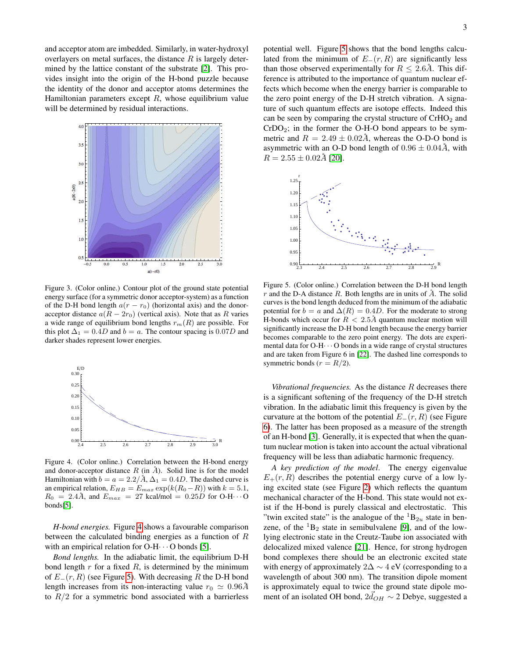and acceptor atom are imbedded. Similarly, in water-hydroxyl overlayers on metal surfaces, the distance  $R$  is largely determined by the lattice constant of the substrate [\[2\]](#page-3-2). This provides insight into the origin of the H-bond puzzle because the identity of the donor and acceptor atoms determines the Hamiltonian parameters except  $R$ , whose equilibrium value will be determined by residual interactions.



<span id="page-2-1"></span>Figure 3. (Color online.) Contour plot of the ground state potential energy surface (for a symmetric donor acceptor-system) as a function of the D-H bond length  $a(r - r_0)$  (horizontal axis) and the donoracceptor distance  $a(R - 2r_0)$  (vertical axis). Note that as R varies a wide range of equilibrium bond lengths  $r_m(R)$  are possible. For this plot  $\Delta_1 = 0.4D$  and  $b = a$ . The contour spacing is 0.07D and darker shades represent lower energies.



<span id="page-2-2"></span>Figure 4. (Color online.) Correlation between the H-bond energy and donor-acceptor distance  $R$  (in  $\AA$ ). Solid line is for the model Hamiltonian with  $b = a = 2.2/\mathring{A}$ ,  $\Delta_1 = 0.4D$ . The dashed curve is an empirical relation,  $E_{HB} = E_{max} \exp(k(R_0 - R))$  with  $k = 5.1$ ,  $R_0 = 2.4\text{Å}$ , and  $E_{max} = 27$  kcal/mol = 0.25D for O-H $\cdots$ O bonds[\[5\]](#page-4-1).

*H-bond energies.* Figure [4](#page-2-2) shows a favourable comparison between the calculated binding energies as a function of R with an empirical relation for  $O-H \cdot \cdot \cdot O$  bonds [\[5\]](#page-4-1).

*Bond lengths.* In the adiabatic limit, the equilibrium D-H bond length  $r$  for a fixed  $R$ , is determined by the minimum of  $E_{-}(r, R)$  (see Figure [5\)](#page-2-0). With decreasing R the D-H bond length increases from its non-interacting value  $r_0 \simeq 0.96\text{\AA}$ to  $R/2$  for a symmetric bond associated with a barrierless

potential well. Figure [5](#page-2-0) shows that the bond lengths calculated from the minimum of  $E_-(r, R)$  are significantly less than those observed experimentally for  $R \leq 2.6\text{\AA}$ . This difference is attributed to the importance of quantum nuclear effects which become when the energy barrier is comparable to the zero point energy of the D-H stretch vibration. A signature of such quantum effects are isotope effects. Indeed this can be seen by comparing the crystal structure of  $CrHO<sub>2</sub>$  and  $CrDO<sub>2</sub>$ ; in the former the O-H-O bond appears to be symmetric and  $R = 2.49 \pm 0.02 \AA$ , whereas the O-D-O bond is asymmetric with an O-D bond length of  $0.96 \pm 0.04$ Å, with  $R = 2.55 \pm 0.02\text{Å}$  [\[20\]](#page-4-13).



<span id="page-2-0"></span>Figure 5. (Color online.) Correlation between the D-H bond length r and the D-A distance R. Both lengths are in units of  $A$ . The solid curves is the bond length deduced from the minimum of the adiabatic potential for  $b = a$  and  $\Delta(R) = 0.4D$ . For the moderate to strong H-bonds which occur for  $R < 2.5\text{Å}$  quantum nuclear motion will significantly increase the D-H bond length because the energy barrier becomes comparable to the zero point energy. The dots are experimental data for O-H· · · O bonds in a wide range of crystal structures and are taken from Figure 6 in [\[22\]](#page-4-14). The dashed line corresponds to symmetric bonds ( $r = R/2$ ).

*Vibrational frequencies.* As the distance R decreases there is a significant softening of the frequency of the D-H stretch vibration. In the adiabatic limit this frequency is given by the curvature at the bottom of the potential  $E_{-}(r, R)$  (see Figure [6\)](#page-3-3). The latter has been proposed as a measure of the strength of an H-bond [\[3\]](#page-3-5). Generally, it is expected that when the quantum nuclear motion is taken into account the actual vibrational frequency will be less than adiabatic harmonic frequency.

*A key prediction of the model*. The energy eigenvalue  $E_{+}(r, R)$  describes the potential energy curve of a low lying excited state (see Figure [2\)](#page-1-1) which reflects the quantum mechanical character of the H-bond. This state would not exist if the H-bond is purely classical and electrostatic. This "twin excited state" is the analogue of the  ${}^{1}B_{2u}$  state in benzene, of the  ${}^{1}B_{2}$  state in semibulvalene [\[9\]](#page-4-4), and of the lowlying electronic state in the Creutz-Taube ion associated with delocalized mixed valence [\[21\]](#page-4-15). Hence, for strong hydrogen bond complexes there should be an electronic excited state with energy of approximately  $2\Delta \sim 4$  eV (corresponding to a wavelength of about 300 nm). The transition dipole moment is approximately equal to twice the ground state dipole moment of an isolated OH bond,  $2\vec{d}_{OH} \sim 2$  Debye, suggested a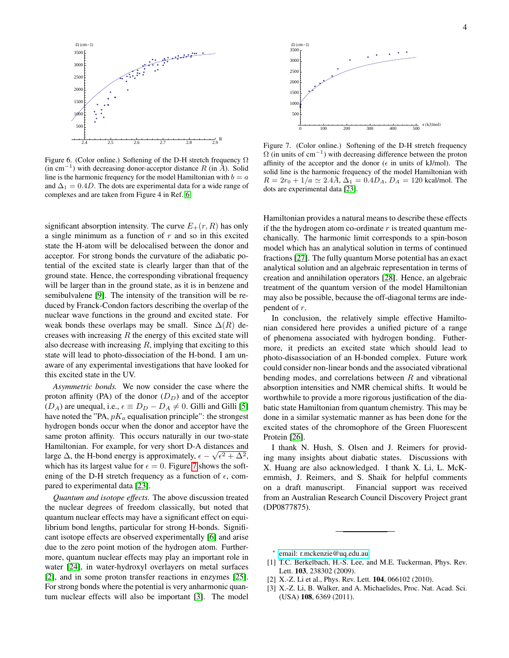

<span id="page-3-3"></span>Figure 6. (Color online.) Softening of the D-H stretch frequency  $\Omega$ (in cm<sup>-1</sup>) with decreasing donor-acceptor distance R (in  $\AA$ ). Solid line is the harmonic frequency for the model Hamiltonian with  $b = a$ and  $\Delta_1 = 0.4D$ . The dots are experimental data for a wide range of complexes and are taken from Figure 4 in Ref. [6.](#page-4-2)

significant absorption intensity. The curve  $E_+(r, R)$  has only a single minimum as a function of  $r$  and so in this excited state the H-atom will be delocalised between the donor and acceptor. For strong bonds the curvature of the adiabatic potential of the excited state is clearly larger than that of the ground state. Hence, the corresponding vibrational frequency will be larger than in the ground state, as it is in benzene and semibulvalene [\[9\]](#page-4-4). The intensity of the transition will be reduced by Franck-Condon factors describing the overlap of the nuclear wave functions in the ground and excited state. For weak bonds these overlaps may be small. Since  $\Delta(R)$  decreases with increasing  $R$  the energy of this excited state will also decrease with increasing  $R$ , implying that exciting to this state will lead to photo-dissociation of the H-bond. I am unaware of any experimental investigations that have looked for this excited state in the UV.

*Asymmetric bonds.* We now consider the case where the proton affinity (PA) of the donor  $(D_D)$  and of the acceptor  $(D_A)$  are unequal, i.e.,  $\epsilon \equiv D_D - D_A \neq 0$ . Gilli and Gilli [\[5\]](#page-4-1) have noted the "PA,  $pK_a$  equalisation principle": the strongest hydrogen bonds occur when the donor and acceptor have the same proton affinity. This occurs naturally in our two-state Hamiltonian. For example, for very short D-A distances and large  $\Delta$ , the H-bond energy is approximately,  $\epsilon - \sqrt{\epsilon^2 + \Delta^2}$ , which has its largest value for  $\epsilon = 0$ . Figure [7](#page-3-4) shows the softening of the D-H stretch frequency as a function of  $\epsilon$ , compared to experimental data [\[23\]](#page-4-16).

*Quantum and isotope effects.* The above discussion treated the nuclear degrees of freedom classically, but noted that quantum nuclear effects may have a significant effect on equilibrium bond lengths, particular for strong H-bonds. Significant isotope effects are observed experimentally [\[6\]](#page-4-2) and arise due to the zero point motion of the hydrogen atom. Furthermore, quantum nuclear effects may play an important role in water [\[24\]](#page-4-17), in water-hydroxyl overlayers on metal surfaces [\[2\]](#page-3-2), and in some proton transfer reactions in enzymes [\[25\]](#page-4-18). For strong bonds where the potential is very anharmonic quantum nuclear effects will also be important [\[3\]](#page-3-5). The model



<span id="page-3-4"></span>Figure 7. (Color online.) Softening of the D-H stretch frequency  $\Omega$  (in units of cm<sup>-1</sup>) with decreasing difference between the proton affinity of the acceptor and the donor ( $\epsilon$  in units of kJ/mol). The solid line is the harmonic frequency of the model Hamiltonian with  $R = 2r_0 + 1/a \simeq 2.4\AA$ ,  $\Delta_1 = 0.4D_A$ ,  $D_A = 120$  kcal/mol. The dots are experimental data [\[23\]](#page-4-16).

Hamiltonian provides a natural means to describe these effects if the the hydrogen atom co-ordinate  $r$  is treated quantum mechanically. The harmonic limit corresponds to a spin-boson model which has an analytical solution in terms of continued fractions [\[27\]](#page-4-19). The fully quantum Morse potential has an exact analytical solution and an algebraic representation in terms of creation and annihilation operators [\[28\]](#page-4-20). Hence, an algebraic treatment of the quantum version of the model Hamiltonian may also be possible, because the off-diagonal terms are independent of r.

In conclusion, the relatively simple effective Hamiltonian considered here provides a unified picture of a range of phenomena associated with hydrogen bonding. Futhermore, it predicts an excited state which should lead to photo-disassociation of an H-bonded complex. Future work could consider non-linear bonds and the associated vibrational bending modes, and correlations between  $R$  and vibrational absorption intensities and NMR chemical shifts. It would be worthwhile to provide a more rigorous justification of the diabatic state Hamiltonian from quantum chemistry. This may be done in a similar systematic manner as has been done for the excited states of the chromophore of the Green Fluorescent Protein [\[26\]](#page-4-21).

I thank N. Hush, S. Olsen and J. Reimers for providing many insights about diabatic states. Discussions with X. Huang are also acknowledged. I thank X. Li, L. McKemmish, J. Reimers, and S. Shaik for helpful comments on a draft manuscript. Financial support was received from an Australian Research Council Discovery Project grant (DP0877875).

<span id="page-3-0"></span>∗ [email: r.mckenzie@uq.edu.au](mailto:email: r.mckenzie@uq.edu.au)

- <span id="page-3-1"></span>[1] T.C. Berkelbach, H.-S. Lee, and M.E. Tuckerman, Phys. Rev. Lett. 103, 238302 (2009).
- <span id="page-3-2"></span>[2] X.-Z. Li et al., Phys. Rev. Lett. **104**, 066102 (2010).
- <span id="page-3-5"></span>[3] X.-Z. Li, B. Walker, and A. Michaelides, Proc. Nat. Acad. Sci. (USA) 108, 6369 (2011).